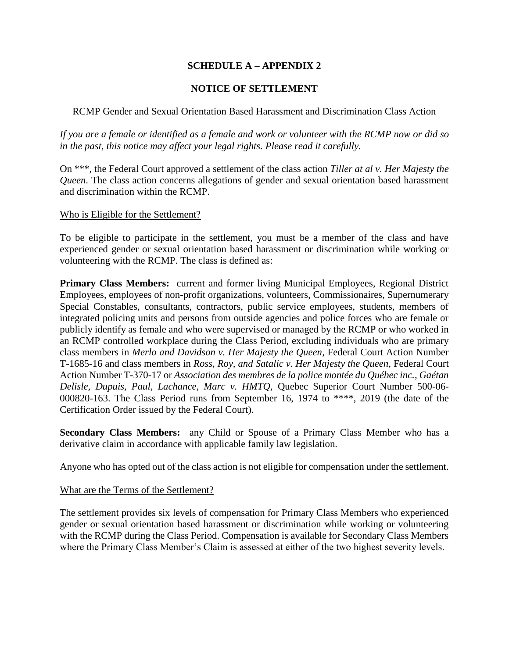# **SCHEDULE A – APPENDIX 2**

# **NOTICE OF SETTLEMENT**

# RCMP Gender and Sexual Orientation Based Harassment and Discrimination Class Action

*If you are a female or identified as a female and work or volunteer with the RCMP now or did so in the past, this notice may affect your legal rights. Please read it carefully.*

On \*\*\*, the Federal Court approved a settlement of the class action *Tiller at al v. Her Majesty the Queen*. The class action concerns allegations of gender and sexual orientation based harassment and discrimination within the RCMP.

#### Who is Eligible for the Settlement?

To be eligible to participate in the settlement, you must be a member of the class and have experienced gender or sexual orientation based harassment or discrimination while working or volunteering with the RCMP. The class is defined as:

**Primary Class Members:** current and former living Municipal Employees, Regional District Employees, employees of non-profit organizations, volunteers, Commissionaires, Supernumerary Special Constables, consultants, contractors, public service employees, students, members of integrated policing units and persons from outside agencies and police forces who are female or publicly identify as female and who were supervised or managed by the RCMP or who worked in an RCMP controlled workplace during the Class Period, excluding individuals who are primary class members in *Merlo and Davidson v. Her Majesty the Queen*, Federal Court Action Number T-1685-16 and class members in *Ross, Roy, and Satalic v. Her Majesty the Queen*, Federal Court Action Number T-370-17 or *Association des membres de la police montée du Québec inc., Gaétan Delisle, Dupuis, Paul, Lachance, Marc v. HMTQ,* Quebec Superior Court Number 500-06- 000820-163. The Class Period runs from September 16, 1974 to \*\*\*\*, 2019 (the date of the Certification Order issued by the Federal Court).

**Secondary Class Members:** any Child or Spouse of a Primary Class Member who has a derivative claim in accordance with applicable family law legislation.

Anyone who has opted out of the class action is not eligible for compensation under the settlement.

### What are the Terms of the Settlement?

The settlement provides six levels of compensation for Primary Class Members who experienced gender or sexual orientation based harassment or discrimination while working or volunteering with the RCMP during the Class Period. Compensation is available for Secondary Class Members where the Primary Class Member's Claim is assessed at either of the two highest severity levels.